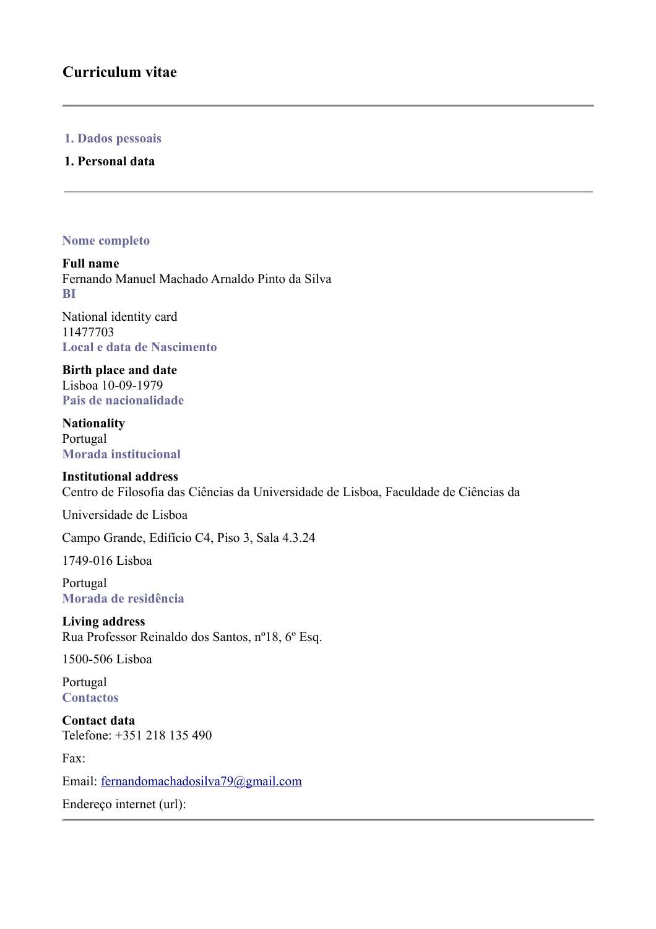## **Curriculum vitae**

#### **1. Dados pessoais**

#### **1. Personal data**

#### **Nome completo**

**Full name** Fernando Manuel Machado Arnaldo Pinto da Silva **BI**

National identity card 11477703 **Local e data de Nascimento**

**Birth place and date** Lisboa 10-09-1979 **Pais de nacionalidade**

**Nationality** Portugal **Morada institucional**

#### **Institutional address**

Centro de Filosofia das Ciências da Universidade de Lisboa, Faculdade de Ciências da

Universidade de Lisboa

Campo Grande, Edifício C4, Piso 3, Sala 4.3.24

1749-016 Lisboa

Portugal **Morada de residência**

**Living address** Rua Professor Reinaldo dos Santos, nº18, 6º Esq.

1500-506 Lisboa

Portugal **Contactos**

**Contact data** Telefone: +351 218 135 490

Fax:

Email: [fernandomachadosilva79@gmail.com](mailto:fernandomachadosilva79@gmail.com)

Endereço internet (url):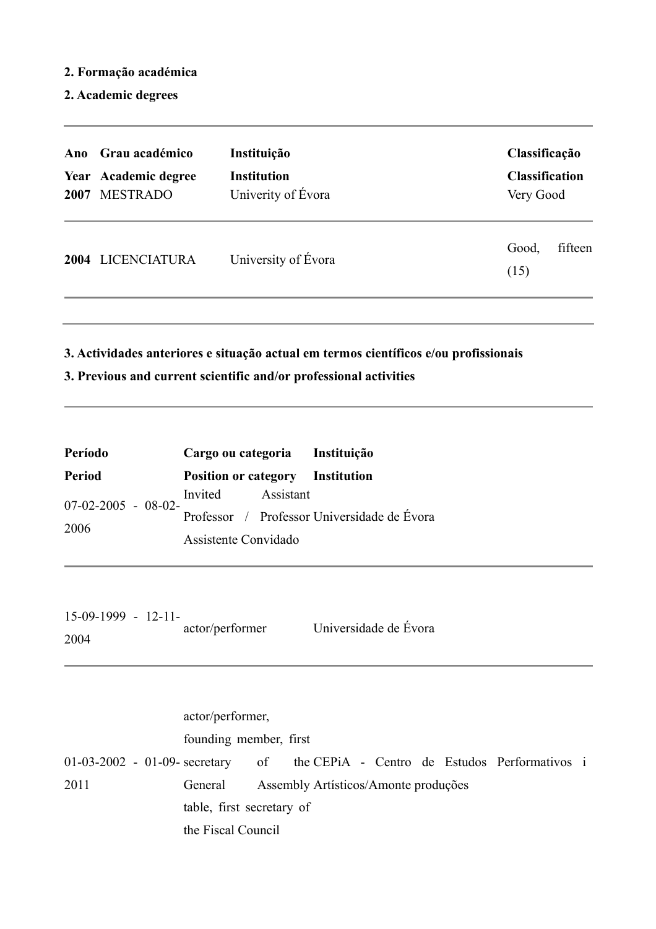#### **2. Formação académica**

**2. Academic degrees**

| Ano<br>2007 | Grau académico<br>Year Academic degree<br><b>MESTRADO</b> | Instituição<br><b>Institution</b><br>Univerity of Évora | Classificação<br><b>Classification</b><br>Very Good |  |
|-------------|-----------------------------------------------------------|---------------------------------------------------------|-----------------------------------------------------|--|
| 2004        | <b>LICENCIATURA</b>                                       | University of Évora                                     | fifteen<br>Good,<br>(15)                            |  |

**3. Actividades anteriores e situação actual em termos científicos e/ou profissionais**

## **3. Previous and current scientific and/or professional activities**

| Período              | Cargo ou categoria Instituição          |                                             |  |
|----------------------|-----------------------------------------|---------------------------------------------|--|
| <b>Period</b>        | <b>Position or category</b> Institution |                                             |  |
| $07-02-2005 - 08-02$ | Invited Assistant                       |                                             |  |
| 2006                 |                                         | Professor / Professor Universidade de Évora |  |
|                      | Assistente Convidado                    |                                             |  |

| $15-09-1999 - 12-11-$ |                 |                       |
|-----------------------|-----------------|-----------------------|
|                       | actor/performer | Universidade de Évora |
| 2004                  |                 |                       |

01-03-2002 - 01-09- secretary of the 2011 actor/performer, founding member, first General Assembly Artísticos/Amonte produçõestable, first secretary of the Fiscal Council CEPiA - Centro de Estudos Performativos i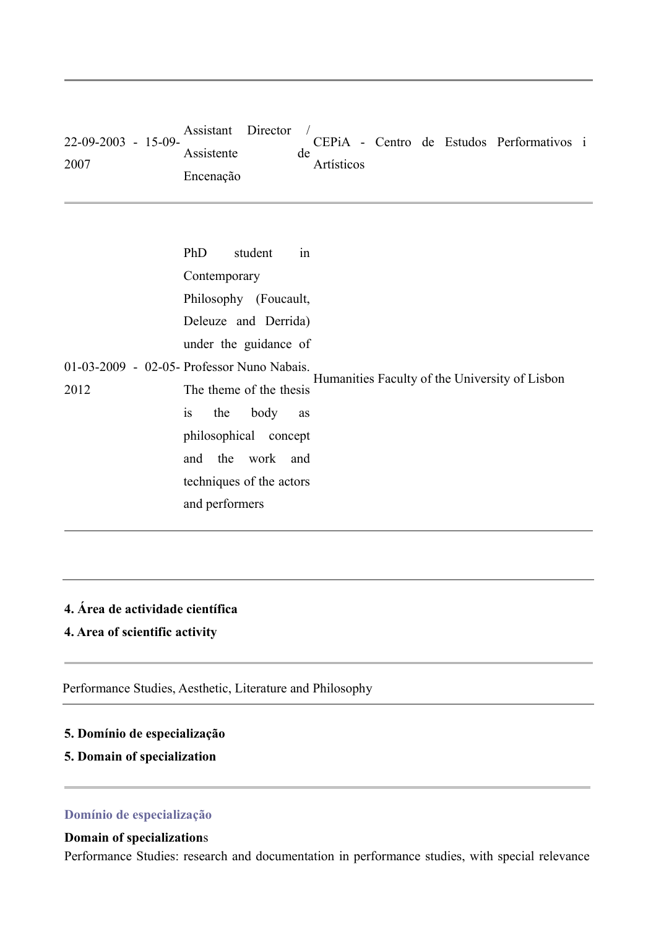| $22-09-2003 - 15-09$ | Assistant Director |                  |  | CEPIA - Centro de Estudos Performativos i |  |
|----------------------|--------------------|------------------|--|-------------------------------------------|--|
| 2007                 | Assistente         | de<br>Artísticos |  |                                           |  |
|                      | Encenação          |                  |  |                                           |  |

|      | PhD<br>student<br>1n                                                      |
|------|---------------------------------------------------------------------------|
|      | Contemporary                                                              |
|      | Philosophy (Foucault,                                                     |
|      | Deleuze and Derrida)                                                      |
|      | under the guidance of                                                     |
|      | 01-03-2009 - 02-05- Professor Nuno Nabais.                                |
| 2012 | Humanities Faculty of the University of Lisbon<br>The theme of the thesis |
|      | is<br>the<br>body<br>as                                                   |
|      | philosophical concept                                                     |
|      | and the work and                                                          |
|      | techniques of the actors                                                  |
|      | and performers                                                            |
|      |                                                                           |

## **4. Área de actividade científica**

**4. Area of scientific activity**

Performance Studies, Aesthetic, Literature and Philosophy

## **5. Domínio de especialização**

**5. Domain of specialization**

## **Domínio de especialização**

#### **Domain of specialization**s

Performance Studies: research and documentation in performance studies, with special relevance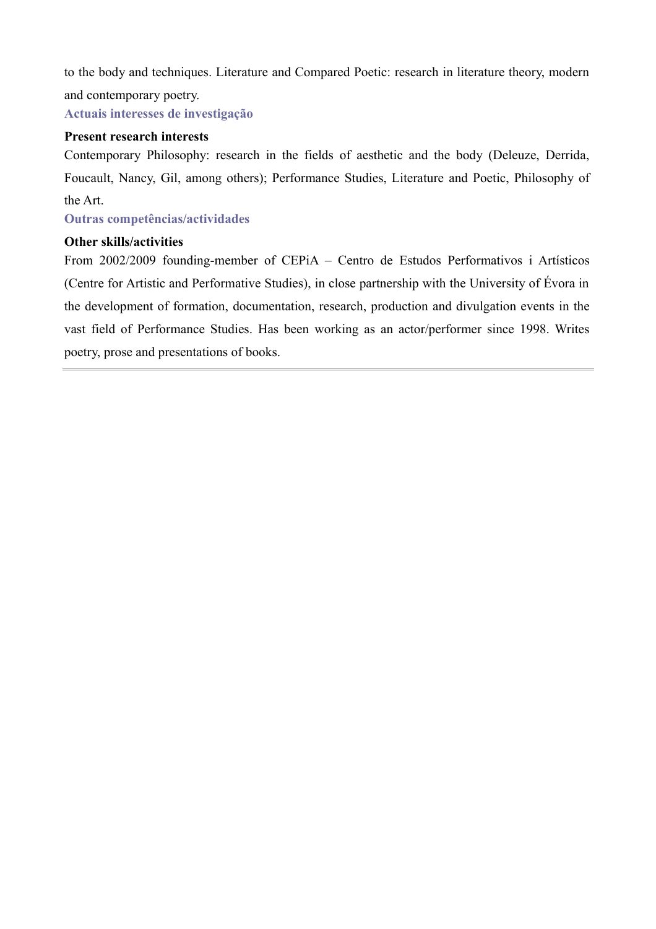to the body and techniques. Literature and Compared Poetic: research in literature theory, modern and contemporary poetry.

**Actuais interesses de investigação**

#### **Present research interests**

Contemporary Philosophy: research in the fields of aesthetic and the body (Deleuze, Derrida, Foucault, Nancy, Gil, among others); Performance Studies, Literature and Poetic, Philosophy of the Art.

### **Outras competências/actividades**

#### **Other skills/activities**

From 2002/2009 founding-member of CEPiA – Centro de Estudos Performativos i Artísticos (Centre for Artistic and Performative Studies), in close partnership with the University of Évora in the development of formation, documentation, research, production and divulgation events in the vast field of Performance Studies. Has been working as an actor/performer since 1998. Writes poetry, prose and presentations of books.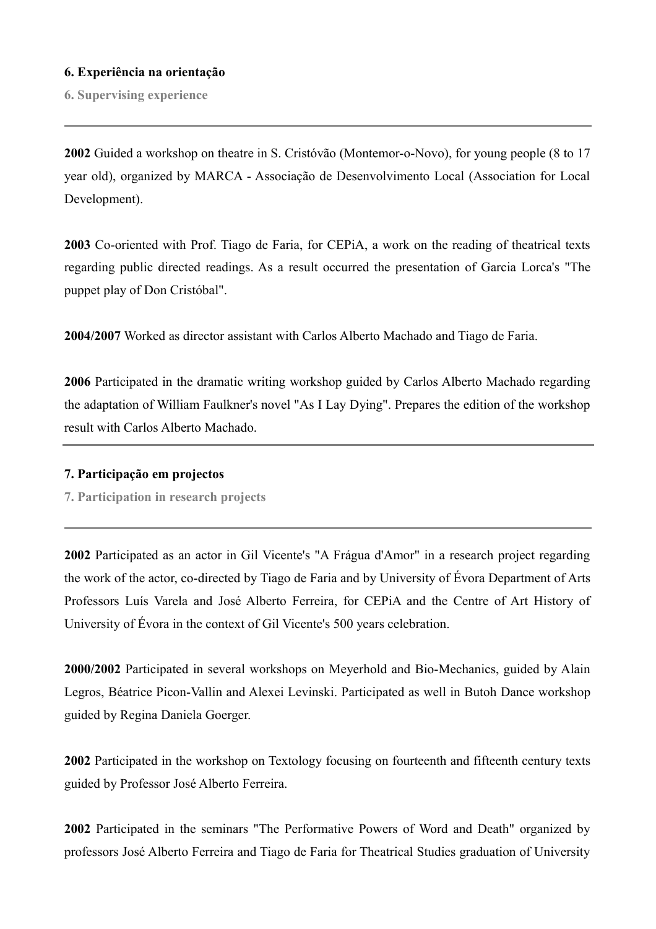#### **6. Experiência na orientação**

**6. Supervising experience**

**2002** Guided a workshop on theatre in S. Cristóvão (Montemor-o-Novo), for young people (8 to 17 year old), organized by MARCA - Associação de Desenvolvimento Local (Association for Local Development).

**2003** Co-oriented with Prof. Tiago de Faria, for CEPiA, a work on the reading of theatrical texts regarding public directed readings. As a result occurred the presentation of Garcia Lorca's "The puppet play of Don Cristóbal".

**2004/2007** Worked as director assistant with Carlos Alberto Machado and Tiago de Faria.

**2006** Participated in the dramatic writing workshop guided by Carlos Alberto Machado regarding the adaptation of William Faulkner's novel "As I Lay Dying". Prepares the edition of the workshop result with Carlos Alberto Machado.

#### **7. Participação em projectos**

**7. Participation in research projects**

**2002** Participated as an actor in Gil Vicente's "A Frágua d'Amor" in a research project regarding the work of the actor, co-directed by Tiago de Faria and by University of Évora Department of Arts Professors Luís Varela and José Alberto Ferreira, for CEPiA and the Centre of Art History of University of Évora in the context of Gil Vicente's 500 years celebration.

**2000/2002** Participated in several workshops on Meyerhold and Bio-Mechanics, guided by Alain Legros, Béatrice Picon-Vallin and Alexei Levinski. Participated as well in Butoh Dance workshop guided by Regina Daniela Goerger.

**2002** Participated in the workshop on Textology focusing on fourteenth and fifteenth century texts guided by Professor José Alberto Ferreira.

**2002** Participated in the seminars "The Performative Powers of Word and Death" organized by professors José Alberto Ferreira and Tiago de Faria for Theatrical Studies graduation of University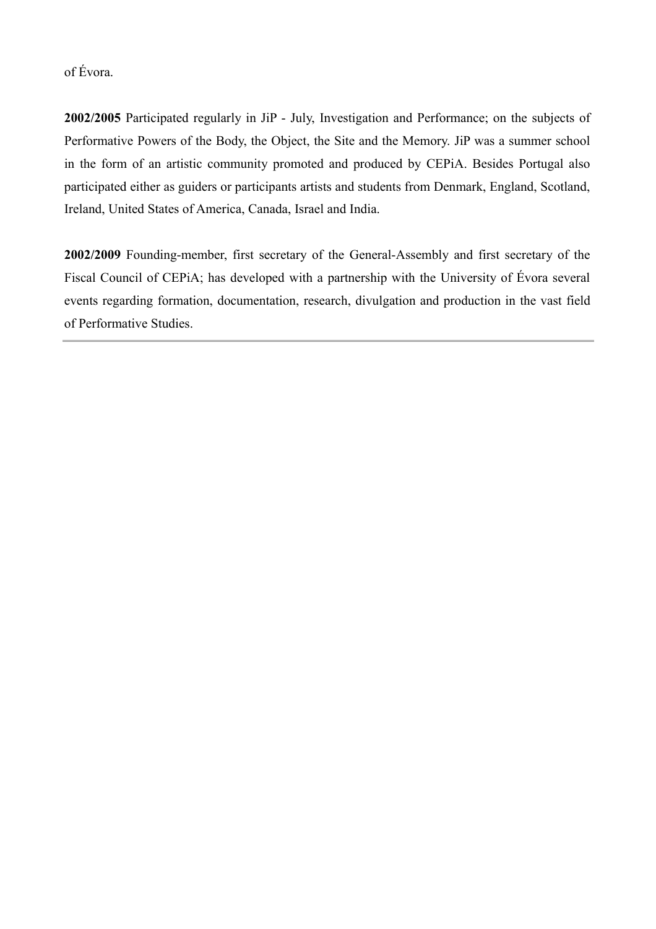of Évora.

**2002/2005** Participated regularly in JiP - July, Investigation and Performance; on the subjects of Performative Powers of the Body, the Object, the Site and the Memory. JiP was a summer school in the form of an artistic community promoted and produced by CEPiA. Besides Portugal also participated either as guiders or participants artists and students from Denmark, England, Scotland, Ireland, United States of America, Canada, Israel and India.

**2002/2009** Founding-member, first secretary of the General-Assembly and first secretary of the Fiscal Council of CEPiA; has developed with a partnership with the University of Évora several events regarding formation, documentation, research, divulgation and production in the vast field of Performative Studies.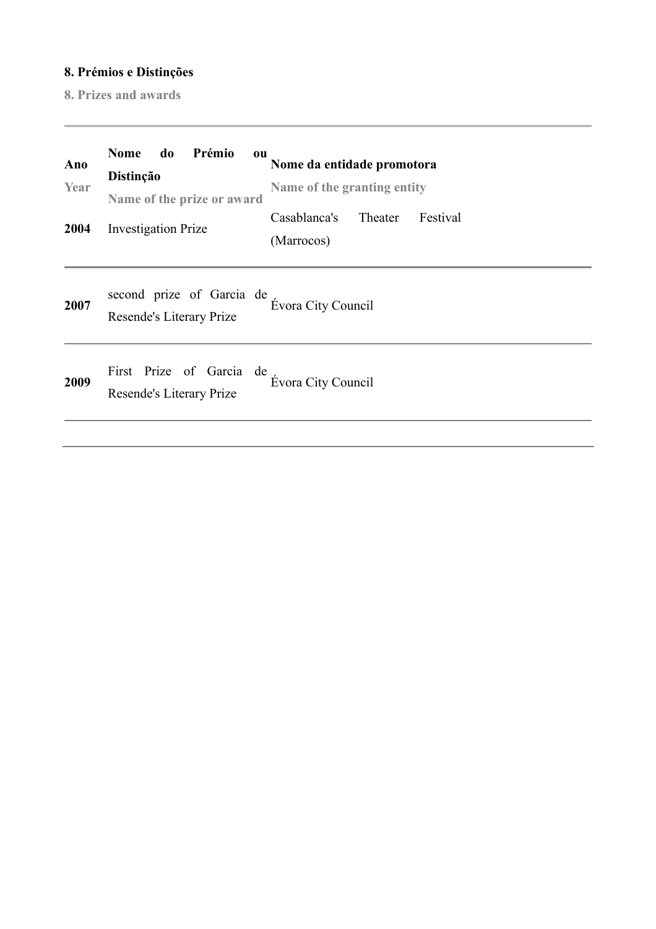## **8. Prémios e Distinções**

**8. Prizes and awards**

| Ano<br>Year<br>2004 | <b>Nome</b><br>do<br>Prémio<br><b>ou</b><br>Distinção<br>Name of the prize or award<br><b>Investigation Prize</b> | Nome da entidade promotora<br>Name of the granting entity<br>Casablanca's Theater<br>Festival<br>(Marrocos) |
|---------------------|-------------------------------------------------------------------------------------------------------------------|-------------------------------------------------------------------------------------------------------------|
| 2007                | second prize of Garcia de<br>Resende's Literary Prize                                                             | Évora City Council                                                                                          |
| 2009                | First Prize of Garcia de<br>Resende's Literary Prize                                                              | <b>Évora City Council</b>                                                                                   |
|                     |                                                                                                                   |                                                                                                             |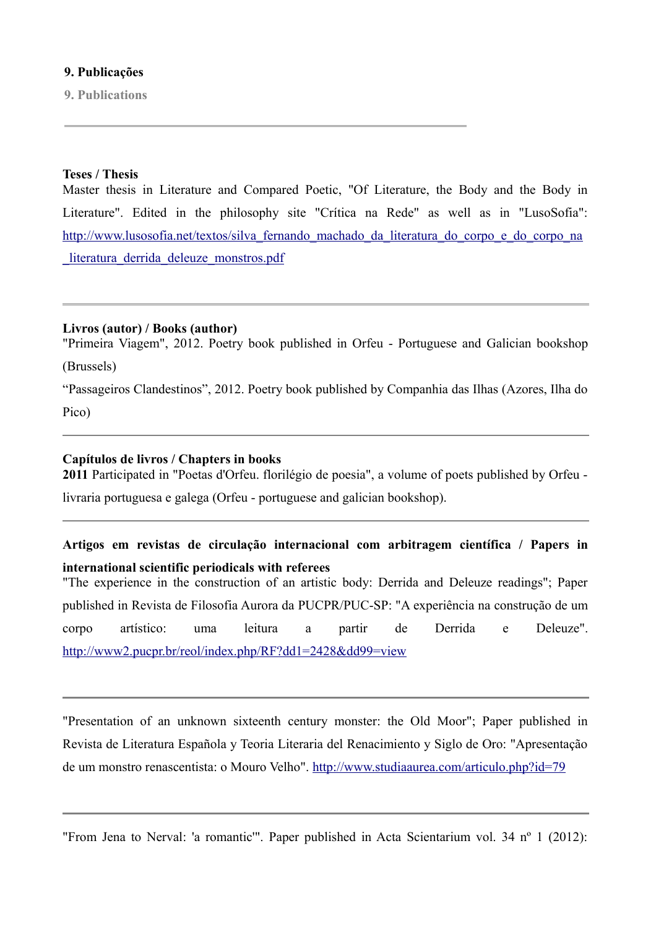#### **9. Publicações**

**9. Publications**

#### **Teses / Thesis**

Master thesis in Literature and Compared Poetic, "Of Literature, the Body and the Body in Literature". Edited in the philosophy site "Crítica na Rede" as well as in "LusoSofia": http://www.lusosofia.net/textos/silva fernando machado da literatura do corpo e do corpo na literatura derrida deleuze monstros.pdf

#### **Livros (autor) / Books (author)**

"Primeira Viagem", 2012. Poetry book published in Orfeu - Portuguese and Galician bookshop (Brussels)

"Passageiros Clandestinos", 2012. Poetry book published by Companhia das Ilhas (Azores, Ilha do Pico)

#### **Capítulos de livros / Chapters in books**

**2011** Participated in "Poetas d'Orfeu. florilégio de poesia", a volume of poets published by Orfeu -

livraria portuguesa e galega (Orfeu - portuguese and galician bookshop).

## **Artigos em revistas de circulação internacional com arbitragem científica / Papers in international scientific periodicals with referees**

"The experience in the construction of an artistic body: Derrida and Deleuze readings"; Paper published in Revista de Filosofia Aurora da PUCPR/PUC-SP: "A experiência na construção de um corpo artístico: uma leitura a partir de Derrida e Deleuze". <http://www2.pucpr.br/reol/index.php/RF?dd1=2428&dd99=view>

"Presentation of an unknown sixteenth century monster: the Old Moor"; Paper published in Revista de Literatura Española y Teoria Literaria del Renacimiento y Siglo de Oro: "Apresentação de um monstro renascentista: o Mouro Velho".<http://www.studiaaurea.com/articulo.php?id=79>

"From Jena to Nerval: 'a romantic'". Paper published in Acta Scientarium vol. 34 nº 1 (2012):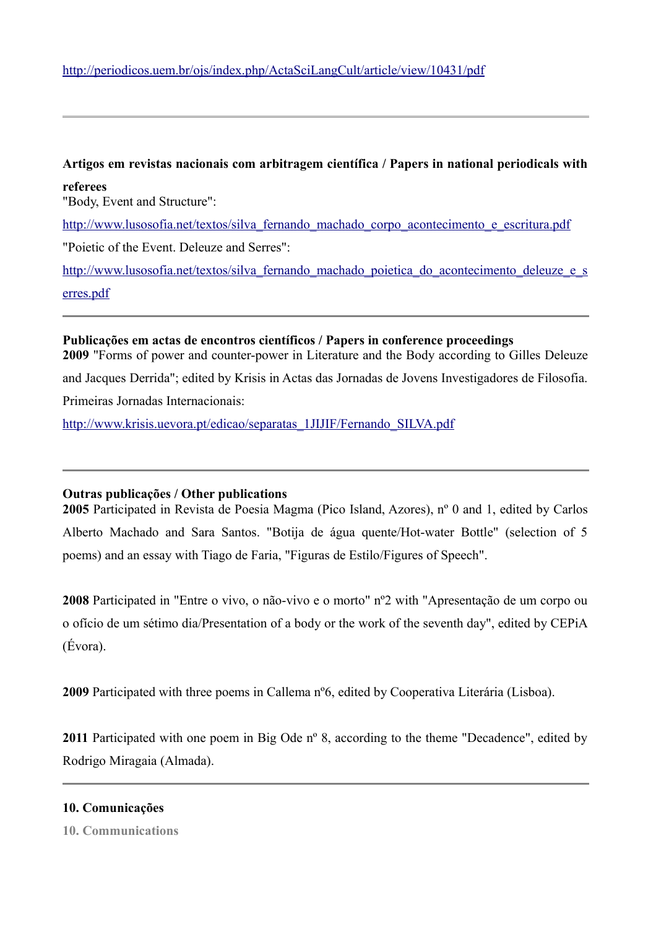# **Artigos em revistas nacionais com arbitragem científica / Papers in national periodicals with referees** "Body, Event and Structure": http://www.lusosofia.net/textos/silva fernando machado corpo acontecimento e escritura.pdf "Poietic of the Event. Deleuze and Serres": http://www.lusosofia.net/textos/silva fernando machado poietica do acontecimento deleuze e s [erres.pdf](http://www.lusosofia.net/textos/silva_fernando_machado_poietica_do_acontecimento_deleuze_e_serres.pdf)

## **Publicações em actas de encontros científicos / Papers in conference proceedings 2009** "Forms of power and counter-power in Literature and the Body according to Gilles Deleuze and Jacques Derrida"; edited by Krisis in Actas das Jornadas de Jovens Investigadores de Filosofia. Primeiras Jornadas Internacionais:

[http://www.krisis.uevora.pt/edicao/separatas\\_1JIJIF/Fernando\\_SILVA.pdf](http://www.krisis.uevora.pt/edicao/separatas_1JIJIF/Fernando_SILVA.pdf)

## **Outras publicações / Other publications**

**2005** Participated in Revista de Poesia Magma (Pico Island, Azores), nº 0 and 1, edited by Carlos Alberto Machado and Sara Santos. "Botija de água quente/Hot-water Bottle" (selection of 5 poems) and an essay with Tiago de Faria, "Figuras de Estilo/Figures of Speech".

**2008** Participated in "Entre o vivo, o não-vivo e o morto" nº2 with "Apresentação de um corpo ou o ofício de um sétimo dia/Presentation of a body or the work of the seventh day", edited by CEPiA (Évora).

**2009** Participated with three poems in Callema nº6, edited by Cooperativa Literária (Lisboa).

2011 Participated with one poem in Big Ode n<sup>o</sup> 8, according to the theme "Decadence", edited by Rodrigo Miragaia (Almada).

#### **10. Comunicações**

**10. Communications**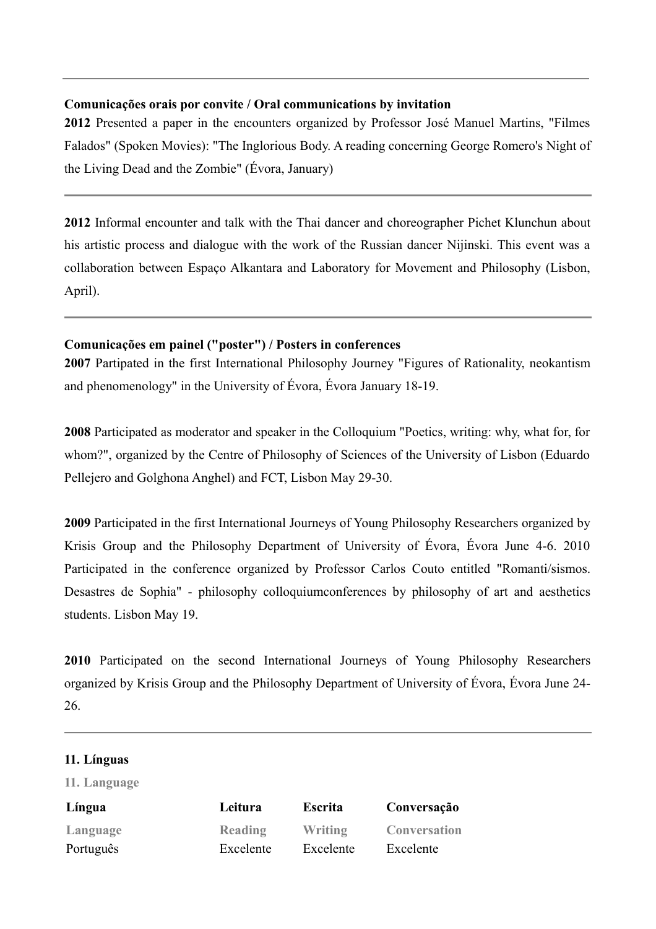#### **Comunicações orais por convite / Oral communications by invitation**

**2012** Presented a paper in the encounters organized by Professor José Manuel Martins, "Filmes Falados" (Spoken Movies): "The Inglorious Body. A reading concerning George Romero's Night of the Living Dead and the Zombie" (Évora, January)

**2012** Informal encounter and talk with the Thai dancer and choreographer Pichet Klunchun about his artistic process and dialogue with the work of the Russian dancer Nijinski. This event was a collaboration between Espaço Alkantara and Laboratory for Movement and Philosophy (Lisbon, April).

#### **Comunicações em painel ("poster") / Posters in conferences**

**2007** Partipated in the first International Philosophy Journey "Figures of Rationality, neokantism and phenomenology" in the University of Évora, Évora January 18-19.

**2008** Participated as moderator and speaker in the Colloquium "Poetics, writing: why, what for, for whom?", organized by the Centre of Philosophy of Sciences of the University of Lisbon (Eduardo Pellejero and Golghona Anghel) and FCT, Lisbon May 29-30.

**2009** Participated in the first International Journeys of Young Philosophy Researchers organized by Krisis Group and the Philosophy Department of University of Évora, Évora June 4-6. 2010 Participated in the conference organized by Professor Carlos Couto entitled "Romanti/sismos. Desastres de Sophia" - philosophy colloquiumconferences by philosophy of art and aesthetics students. Lisbon May 19.

**2010** Participated on the second International Journeys of Young Philosophy Researchers organized by Krisis Group and the Philosophy Department of University of Évora, Évora June 24- 26.

#### **11. Línguas**

**11. Language**

| Língua    | Leitura   | <b>Escrita</b> | Conversação         |
|-----------|-----------|----------------|---------------------|
| Language  | Reading   | Writing        | <b>Conversation</b> |
| Português | Excelente | Excelente      | Excelente           |